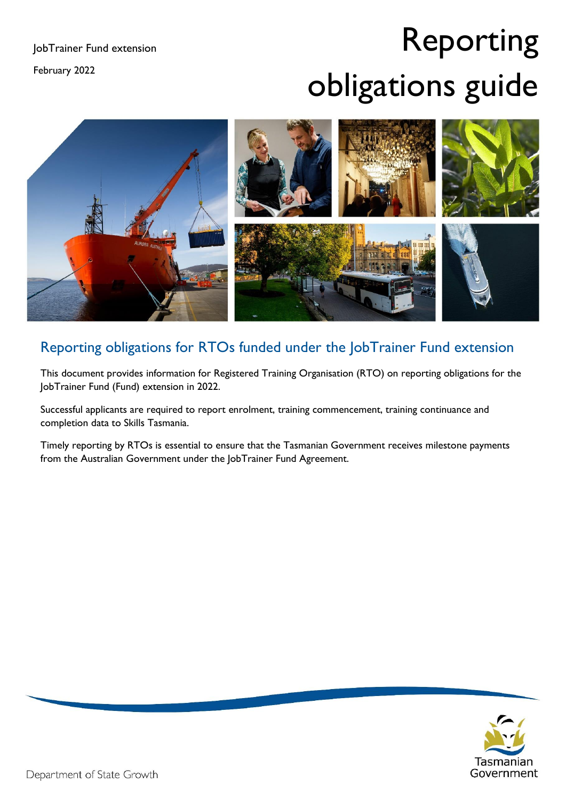February 2022

# Reporting obligations guide



## Reporting obligations for RTOs funded under the JobTrainer Fund extension

This document provides information for Registered Training Organisation (RTO) on reporting obligations for the JobTrainer Fund (Fund) extension in 2022.

Successful applicants are required to report enrolment, training commencement, training continuance and completion data to Skills Tasmania.

Timely reporting by RTOs is essential to ensure that the Tasmanian Government receives milestone payments from the Australian Government under the JobTrainer Fund Agreement.

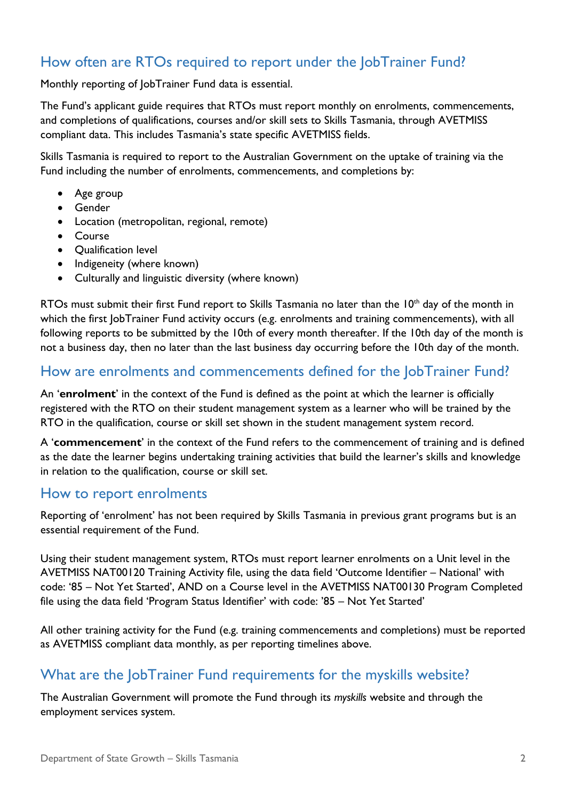### How often are RTOs required to report under the JobTrainer Fund?

Monthly reporting of JobTrainer Fund data is essential.

The Fund's applicant guide requires that RTOs must report monthly on enrolments, commencements, and completions of qualifications, courses and/or skill sets to Skills Tasmania, through AVETMISS compliant data. This includes Tasmania's state specific AVETMISS fields.

Skills Tasmania is required to report to the Australian Government on the uptake of training via the Fund including the number of enrolments, commencements, and completions by:

- Age group
- Gender
- Location (metropolitan, regional, remote)
- Course
- Qualification level
- Indigeneity (where known)
- Culturally and linguistic diversity (where known)

RTOs must submit their first Fund report to Skills Tasmania no later than the  $10<sup>th</sup>$  day of the month in which the first JobTrainer Fund activity occurs (e.g. enrolments and training commencements), with all following reports to be submitted by the 10th of every month thereafter. If the 10th day of the month is not a business day, then no later than the last business day occurring before the 10th day of the month.

#### How are enrolments and commencements defined for the JobTrainer Fund?

An '**enrolment**' in the context of the Fund is defined as the point at which the learner is officially registered with the RTO on their student management system as a learner who will be trained by the RTO in the qualification, course or skill set shown in the student management system record.

A '**commencement**' in the context of the Fund refers to the commencement of training and is defined as the date the learner begins undertaking training activities that build the learner's skills and knowledge in relation to the qualification, course or skill set.

#### How to report enrolments

Reporting of 'enrolment' has not been required by Skills Tasmania in previous grant programs but is an essential requirement of the Fund.

Using their student management system, RTOs must report learner enrolments on a Unit level in the AVETMISS NAT00120 Training Activity file, using the data field 'Outcome Identifier – National' with code: '85 – Not Yet Started', AND on a Course level in the AVETMISS NAT00130 Program Completed file using the data field 'Program Status Identifier' with code: '85 – Not Yet Started'

All other training activity for the Fund (e.g. training commencements and completions) must be reported as AVETMISS compliant data monthly, as per reporting timelines above.

#### What are the JobTrainer Fund requirements for the myskills website?

The Australian Government will promote the Fund through its *myskills* website and through the employment services system.